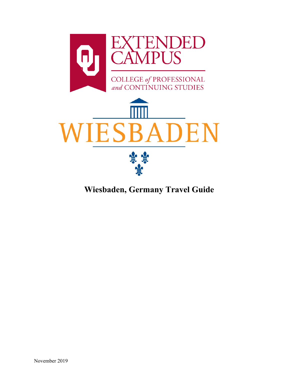

**Wiesbaden, Germany Travel Guide**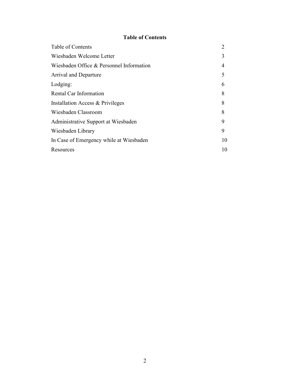# **Table of Contents**

<span id="page-1-1"></span><span id="page-1-0"></span>

| Table of Contents                        | $\overline{2}$ |
|------------------------------------------|----------------|
| Wiesbaden Welcome Letter                 | 3              |
| Wiesbaden Office & Personnel Information | 4              |
| <b>Arrival and Departure</b>             | 5              |
| Lodging:                                 | 6              |
| Rental Car Information                   | 8              |
| Installation Access & Privileges         | 8              |
| Wiesbaden Classroom                      | 8              |
| Administrative Support at Wiesbaden      | 9              |
| Wiesbaden Library                        | 9              |
| In Case of Emergency while at Wiesbaden  | 10             |
| Resources                                | 10             |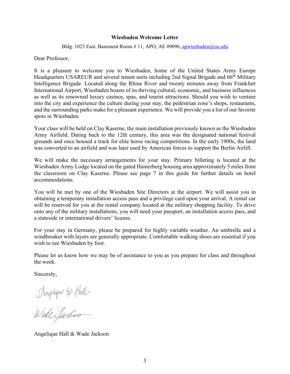#### **Wiesbaden Welcome Letter**

Bldg. 1023 East, Basement Room # 11, APO, AE 09096, [apwiesbaden@ou.edu](mailto:apwiesbaden@ou.edu)

Dear Professor,

It is a pleasure to welcome you to Wiesbaden, home of the United States Army Europe Headquarters USAREUR and several tenant units including 2nd Signal Brigade and 66<sup>th</sup> Military Intelligence Brigade. Located along the Rhine River and twenty minutes away from Frankfurt International Airport, Wiesbaden boasts of its thriving cultural, economic, and business influences as well as its renowned luxury casinos, spas, and tourist attractions. Should you wish to venture into the city and experience the culture during your stay, the pedestrian zone's shops, restaurants, and the surrounding parks make for a pleasant experience. We will provide you a list of our favorite spots in Wiesbaden.

Your class will be held on Clay Kaserne, the main installation previously known as the Wiesbaden Army Airfield. Dating back to the 12th century, this area was the designated national festival grounds and once housed a track for elite horse racing competitions. In the early 1900s, the land was converted to an airfield and was later used by American forces to support the Berlin Airlift.

We will make the necessary arrangements for your stay. Primary billeting is located at the Wiesbaden Army Lodge located on the gated Hainerberg housing area approximately 5 miles from the classroom on Clay Kaserne. Please see page 7 in this guide for further details on hotel accommodations.

You will be met by one of the Wiesbaden Site Directors at the airport. We will assist you in obtaining a temporary installation access pass and a privilege card upon your arrival. A rental car will be reserved for you at the rental company located at the military shopping facility. To drive onto any of the military installations, you will need your passport, an installation access pass, and a stateside or international drivers' license.

For your stay in Germany, please be prepared for highly variable weather. An umbrella and a windbreaker with layers are generally appropriate. Comfortable walking shoes are essential if you wish to see Wiesbaden by foot.

Please let us know how we may be of assistance to you as you prepare for class and throughout the week.

Sincerely,

Anghique E. Hall

Angelique Hall & Wade Jackson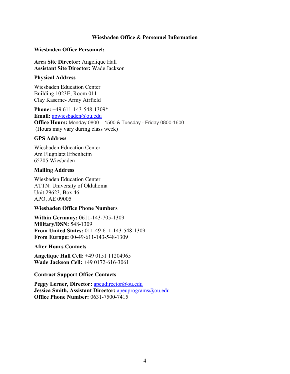### **Wiesbaden Office & Personnel Information**

#### <span id="page-3-0"></span>**Wiesbaden Office Personnel:**

**Area Site Director:** Angelique Hall **Assistant Site Director:** Wade Jackson

#### **Physical Address**

Wiesbaden Education Center Building 1023E, Room 011 Clay Kaserne- Army Airfield

**Phone:** +49 611-143-548-1309\* **Email:** [apwiesbaden@ou.edu](mailto:apwiesbaden@ou.edu) **Office Hours:** Monday 0800 – 1500 & Tuesday - Friday 0800-1600 (Hours may vary during class week)

### **GPS Address**

Wiesbaden Education Center Am Flugplatz Erbenheim 65205 Wiesbaden

### **Mailing Address**

Wiesbaden Education Center ATTN: University of Oklahoma Unit 29623, Box 46 APO, AE 09005

### **Wiesbaden Office Phone Numbers**

**Within Germany:** 0611-143-705-1309 **Military/DSN:** 548-1309 **From United States:** 011-49-611-143-548-1309 **From Europe:** 00-49-611-143-548-1309

### **After Hours Contacts**

**Angelique Hall Cell:** +49 0151 11204965 **Wade Jackson Cell:** +49 0172-616-3061

### **Contract Support Office Contacts**

Peggy Lerner, Director: [apeudirector@ou.edu](mailto:apeudirector@ou.edu) **Jessica Smith, Assistant Director:** [apeuprograms@ou.edu](mailto:apeuprograms@ou.edu) **Office Phone Number:** 0631-7500-7415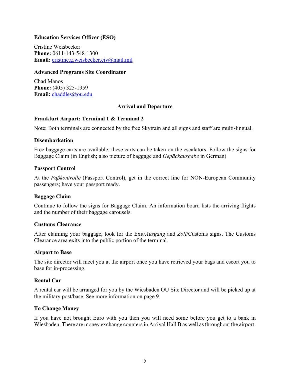# **Education Services Officer (ESO)**

Cristine Weisbecker **Phone:** 0611-143-548-1300 **Email:** [cristine.g.weisbecker.civ@mail.mil](mailto:cristine.g.weisbecker.civ@mail.mil)

#### **Advanced Programs Site Coordinator**

Chad Manos **Phone:** (405) 325-1959 **Email:** [chaddles@ou.edu](mailto:chaddles@ou.edu)

### **Arrival and Departure**

### <span id="page-4-0"></span>**Frankfurt Airport: Terminal 1 & Terminal 2**

Note: Both terminals are connected by the free Skytrain and all signs and staff are multi-lingual.

#### **Disembarkation**

Free baggage carts are available; these carts can be taken on the escalators. Follow the signs for Baggage Claim (in English; also picture of baggage and *Gepäckausgabe* in German)

#### **Passport Control**

At the *Paßkontrolle* (Passport Control), get in the correct line for NON-European Community passengers; have your passport ready.

### **Baggage Claim**

Continue to follow the signs for Baggage Claim. An information board lists the arriving flights and the number of their baggage carousels.

#### **Customs Clearance**

After claiming your baggage, look for the Exit/*Ausgang* and *Zoll*/Customs signs. The Customs Clearance area exits into the public portion of the terminal.

#### **Airport to Base**

The site director will meet you at the airport once you have retrieved your bags and escort you to base for in-processing.

### **Rental Car**

A rental car will be arranged for you by the Wiesbaden OU Site Director and will be picked up at the military post/base. See more information on page 9.

### **To Change Money**

If you have not brought Euro with you then you will need some before you get to a bank in Wiesbaden. There are money exchange counters in Arrival Hall B as well as throughout the airport.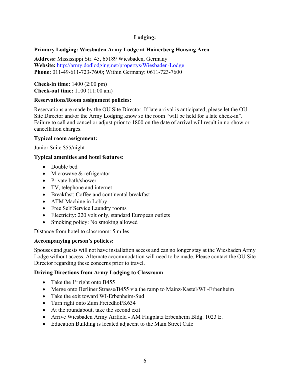# **Lodging:**

# <span id="page-5-0"></span>**Primary Lodging: Wiesbaden Army Lodge at Hainerberg Housing Area**

**Address:** Mississippi Str. 45, 65189 Wiesbaden, Germany **Website:** <http://army.dodlodging.net/propertys/Wiesbaden-Lodge> **Phone:** 011-49-611-723-7600; Within Germany: 0611-723-7600

**Check-in time:** 1400 (2:00 pm) **Check-out time:** 1100 (11:00 am)

### **Reservations/Room assignment policies:**

Reservations are made by the OU Site Director. If late arrival is anticipated, please let the OU Site Director and/or the Army Lodging know so the room "will be held for a late check-in". Failure to call and cancel or adjust prior to 1800 on the date of arrival will result in no-show or cancellation charges.

# **Typical room assignment:**

Junior Suite \$55/night

# **Typical amenities and hotel features:**

- Double bed
- Microwave & refrigerator
- Private bath/shower
- TV, telephone and internet
- Breakfast: Coffee and continental breakfast
- ATM Machine in Lobby
- Free Self Service Laundry rooms
- Electricity: 220 volt only, standard European outlets
- Smoking policy: No smoking allowed

Distance from hotel to classroom: 5 miles

# **Accompanying person's policies:**

Spouses and guests will not have installation access and can no longer stay at the Wiesbaden Army Lodge without access. Alternate accommodation will need to be made. Please contact the OU Site Director regarding these concerns prior to travel.

# **Driving Directions from Army Lodging to Classroom**

- Take the  $1<sup>st</sup>$  right onto B455
- Merge onto Berliner Strasse/B455 via the ramp to Mainz-Kastel/WI -Erbenheim
- Take the exit toward WI-Erbenheim-Sud
- Turn right onto Zum Freiedhof/K634
- At the roundabout, take the second exit
- Arrive Wiesbaden Army Airfield AM Flugplatz Erbenheim Bldg. 1023 E.
- Education Building is located adjacent to the Main Street Café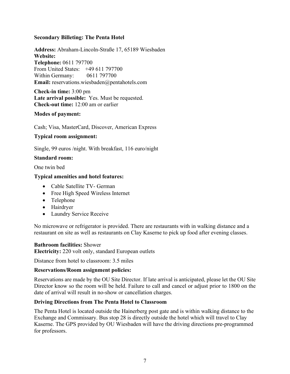# **Secondary Billeting: The Penta Hotel**

**Address:** Abraham-Lincoln-Straße 17, 65189 Wiesbaden **Website: Telephone:** 0611 797700 From United States: +49 611 797700 Within Germany: 0611 797700 **Email:** reservations.wiesbaden@pentahotels.com

**Check-in time:** 3:00 pm **Late arrival possible:** Yes. Must be requested. **Check-out time:** 12:00 am or earlier

### **Modes of payment:**

Cash; Visa, MasterCard, Discover, American Express

# **Typical room assignment:**

Single, 99 euros /night. With breakfast, 116 euro/night

### **Standard room:**

One twin bed

### **Typical amenities and hotel features:**

- Cable Satellite TV- German
- Free High Speed Wireless Internet
- Telephone
- Hairdryer
- Laundry Service Receive

No microwave or refrigerator is provided. There are restaurants with in walking distance and a restaurant on site as well as restaurants on Clay Kaserne to pick up food after evening classes.

### **Bathroom facilities:** Shower

**Electricity:** 220 volt only, standard European outlets

Distance from hotel to classroom: 3.5 miles

### **Reservations/Room assignment policies:**

Reservations are made by the OU Site Director. If late arrival is anticipated, please let the OU Site Director know so the room will be held. Failure to call and cancel or adjust prior to 1800 on the date of arrival will result in no-show or cancellation charges.

### **Driving Directions from The Penta Hotel to Classroom**

The Penta Hotel is located outside the Hainerberg post gate and is within walking distance to the Exchange and Commissary. Bus stop 28 is directly outside the hotel which will travel to Clay Kaserne. The GPS provided by OU Wiesbaden will have the driving directions pre-programmed for professors.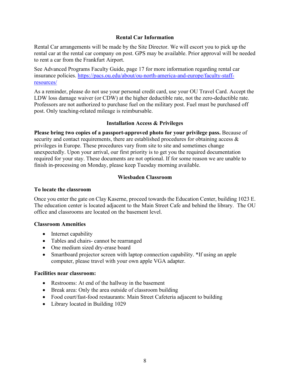# **Rental Car Information**

<span id="page-7-0"></span>Rental Car arrangements will be made by the Site Director. We will escort you to pick up the rental car at the rental car company on post. GPS may be available. Prior approval will be needed to rent a car from the Frankfurt Airport.

See Advanced Programs Faculty Guide, page 17 for more information regarding rental car insurance policies. [https://pacs.ou.edu/about/ou-north-america-and-europe/faculty-staff](https://pacs.ou.edu/about/ou-north-america-and-europe/faculty-staff-resources/)[resources/](https://pacs.ou.edu/about/ou-north-america-and-europe/faculty-staff-resources/)

As a reminder, please do not use your personal credit card, use your OU Travel Card. Accept the LDW loss damage waiver (or CDW) at the higher deductible rate, not the zero-deductible rate. Professors are not authorized to purchase fuel on the military post. Fuel must be purchased off post. Only teaching-related mileage is reimbursable.

# **Installation Access & Privileges**

<span id="page-7-1"></span>**Please bring two copies of a passport-approved photo for your privilege pass.** Because of security and contact requirements, there are established procedures for obtaining access & privileges in Europe. These procedures vary from site to site and sometimes change unexpectedly. Upon your arrival, our first priority is to get you the required documentation required for your stay. These documents are not optional. If for some reason we are unable to finish in-processing on Monday, please keep Tuesday morning available.

# **Wiesbaden Classroom**

## <span id="page-7-2"></span>**To locate the classroom**

Once you enter the gate on Clay Kaserne, proceed towards the Education Center, building 1023 E. The education center is located adjacent to the Main Street Cafe and behind the library. The OU office and classrooms are located on the basement level.

### **Classroom Amenities**

- Internet capability
- Tables and chairs- cannot be rearranged
- One medium sized dry-erase board
- Smartboard projector screen with laptop connection capability. \*If using an apple computer, please travel with your own apple VGA adapter.

### **Facilities near classroom:**

- Restrooms: At end of the hallway in the basement
- Break area: Only the area outside of classroom building
- Food court/fast-food restaurants: Main Street Cafeteria adjacent to building
- Library located in Building 1029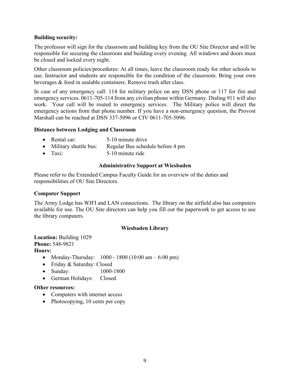# **Building security:**

The professor will sign for the classroom and building key from the OU Site Director and will be responsible for securing the classroom and building every evening. All windows and doors must be closed and locked every night.

Other classroom policies/procedures: At all times, leave the classroom ready for other schools to use. Instructor and students are responsible for the condition of the classroom. Bring your own beverages & food in sealable containers. Remove trash after class.

In case of any emergency call: 114 for military police on any DSN phone or 117 for fire and emergency services. 0611-705-114 from any civilian phone within Germany. Dialing 911 will also work. Your call will be routed to emergency services. The Military police will direct the emergency actions from that phone number. If you have a non-emergency question, the Provost Marshall can be reached at DSN 337-5096 or CIV 0611-705-5096.

# **Distance between Lodging and Classroom**

- Rental car: 5-10 minute drive
- Military shuttle bus: Regular Bus schedule before 4 pm
- <span id="page-8-0"></span>• Taxi: 5-10 minute ride

# **Administrative Support at Wiesbaden**

Please refer to the Extended Campus Faculty Guide for an overview of the duties and responsibilities of OU Site Directors.

# **Computer Support**

The Army Lodge has WIFI and LAN connections. The library on the airfield also has computers available for use. The OU Site directors can help you fill out the paperwork to get access to use the library computers.

# **Wiesbaden Library**

<span id="page-8-1"></span>**Location:** Building 1029 **Phone:** 548-9821 **Hours:**

- Monday-Thursday:  $1000 1800 (10:00 \text{ am} 6:00 \text{ pm})$
- Friday & Saturday: Closed
- Sunday: 1000-1800
- German Holidays: Closed

### **Other resources:**

- Computers with internet access
- Photocopying, 10 cents per copy